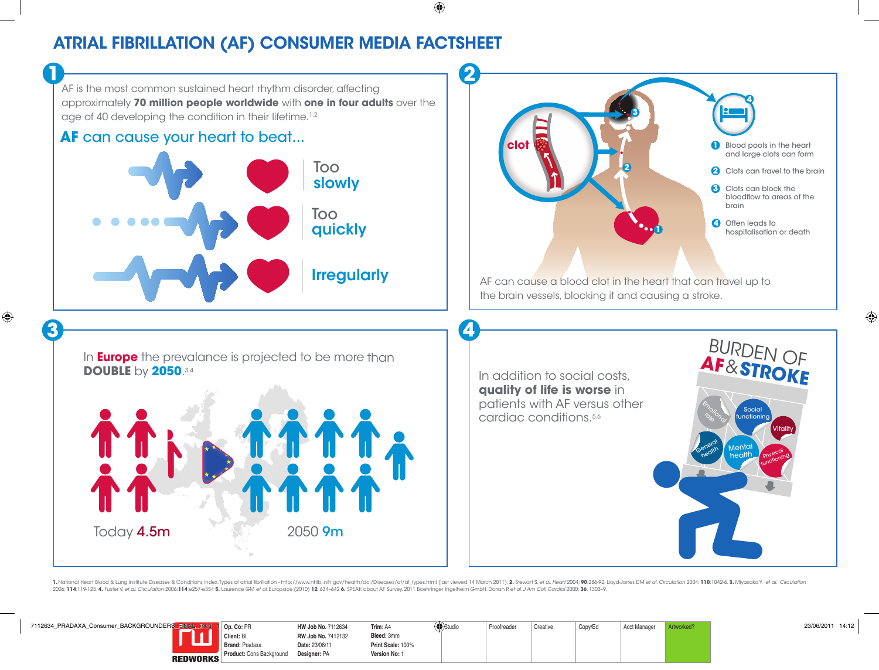# ATRIAL FIBRILLATION (AF) CONSUMER MEDIA FACTSHEET

AF is the most common sustained heart rhythm disorder, affecting approximately **70 million people worldwide** with **one in four adults** over the age of 40 developing the condition in their lifetime.<sup>1,2</sup> **1 2**

### **AF** can cause your heart to beat...





BURDEN OF **AF**&**STROKE**

> Social functioning

> > Vitality

Mental health Physical functioning

Emotional

General health<br>health

**3 4**

In **Europe** the prevalance is projected to be more than **DOUBLE** by **2050**.3,4



In addition to social costs, **quality of life is worse** in patients with AF versus other cardiac conditions.<sup>5,6</sup>

1. National Heart Blood & Lung Institute Diseases & Conditions Index.Types of atrial fibrillation - http://www.nhlbi.nih.gov/health/dci/Diseases/af/af\_types.html (last viewed 14 March 2011). 2. Stewart S, et al. Heart 2004 2006; 114:119-125.4. Fuster V, et al. Circulation 2006; 114:e257-e354 5. Laurence GM et al. Europace (2010) 12, 634-642 6. SPEAK about AF Survey, 2011 Boehringer Ingelheim GmbH. Dorian P, et al. J Am Coll Cardiol 2000; 36: